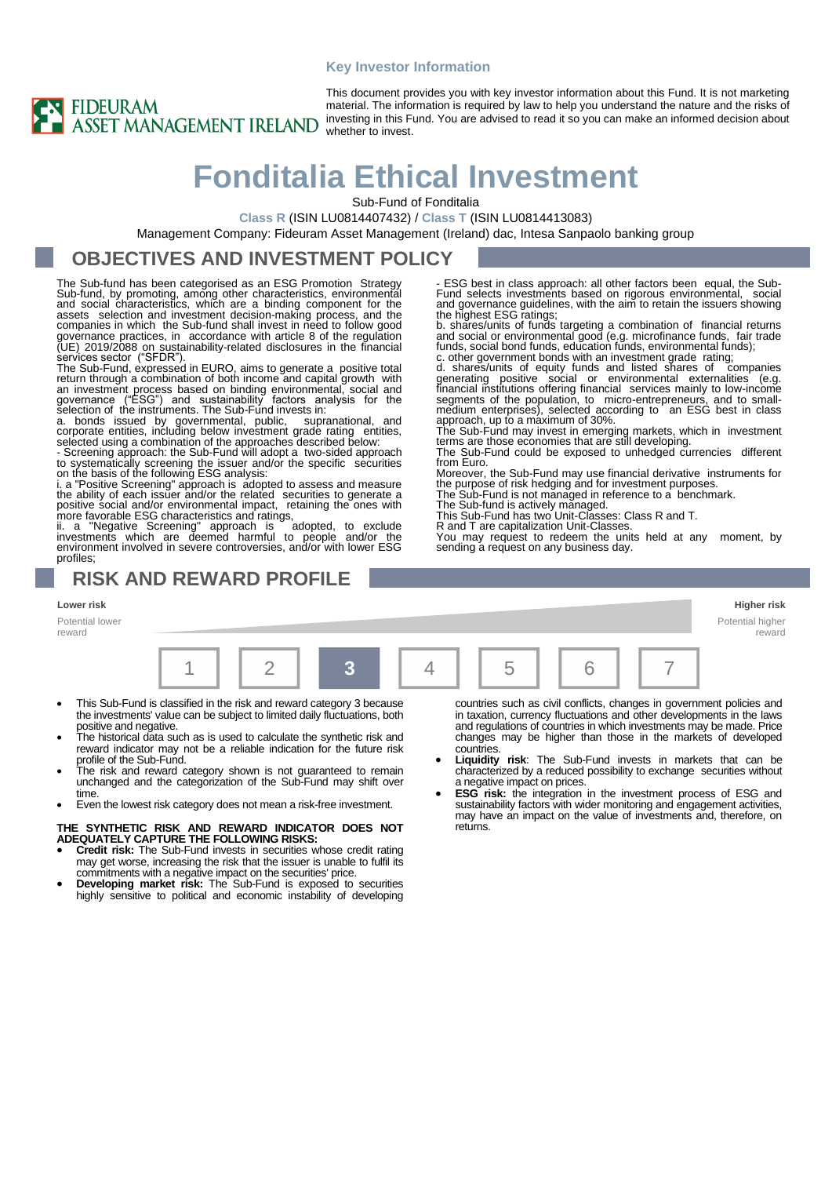#### **Key Investor Information**



This document provides you with key investor information about this Fund. It is not marketing material. The information is required by law to help you understand the nature and the risks of investing in this Fund. You are advised to read it so you can make an informed decision about whether to invest.

> ESG best in class approach: all other factors been equal, the Sub-<br>Fund selects investments based on rigorous environmental, social Fund selects investments based on rigorous environmental, and governance guidelines, with the aim to retain the issuers showing the highest ESG ratings; b. shares/units of funds targeting a combination of financial returns and social or environmental good (e.g. microfinance funds, fair trade

> funds, social bond funds, education funds, environmental funds);<br>c. other government bonds with an investment grade rating;<br>d. shares/units of equity funds and listed shares of companies<br>generating positive social or envir

The Sub-Fund may invest in emerging markets, which in investment terms are those economies that are still developing. The Sub-Fund could be exposed to unhedged currencies different

Moreover, the Sub-Fund may use financial derivative instruments for the purpose of risk hedging and for investment purposes. The Sub-Fund is not managed in reference to a benchmark.

You may request to redeem the units held at any moment, by

The Sub-fund is actively managed.<br>This Sub-Fund has two Unit-Classes: Class R and T.<br>R and T are capitalization Unit-Classes.

sending a request on any business day.

# **Fonditalia Ethical Investment**

Sub-Fund of Fonditalia

**Class R** (ISIN LU0814407432) / **Class T** (ISIN LU0814413083)

Management Company: Fideuram Asset Management (Ireland) dac, Intesa Sanpaolo banking group

### **OBJECTIVES AND INVESTMENT POLICY**

The Sub-fund has been categorised as an ESG Promotion Strategy Sub-fund, by promoting, among other characteristics, environmental<br>and social characteristics, which are a binding component for the<br>assets selection and investment decision-making process, and the<br>companies in which the S governance practices, in accordance with article 8 of the regulation (UE) 2019/2088 on sustainability‐related disclosures in the financial services sector ("SFDR"). The Sub-Fund, expressed in EURO, aims to generate a positive total

return through a combination of both income and capital growth with<br>an investment process based on binding environmental, social and<br>governance ("ESG") and sustainability factors analysis for the<br>selection of the instrumen

selected using a combination of the approaches described below: - Screening approach: the Sub-Fund will adopt a two-sided approach to systematically screening the issuer and/or the specific securities on the basis of the following ESG analysis:

i. a "Positive Screening" approach is adopted to assess and measure the ability of each issuer and/or the related securities to generate a positive social and/or environmental impact, retaining the ones with

more favorable ESG characteristics and ratings,<br>ii. a "Negative Screening" approach is adopted, to exclude<br>investments which are deemed harmful to people and/or the<br>environment involved in severe controversies, and/or with profiles;

### **RISK AND REWARD PROFILE**

**Lower risk Higher risk**

Potential lower reward



from Euro.

- This Sub-Fund is classified in the risk and reward category 3 because the investments' value can be subject to limited daily fluctuations, both
- positive and negative. The historical data such as is used to calculate the synthetic risk and reward indicator may not be a reliable indication for the future risk profile of the Sub-Fund.
- The risk and reward category shown is not guaranteed to remain unchanged and the categorization of the Sub-Fund may shift over time.
- Even the lowest risk category does not mean a risk-free investment.

#### **THE SYNTHETIC RISK AND REWARD INDICATOR DOES NOT ADEQUATELY CAPTURE THE FOLLOWING RISKS:**

- **Credit risk:** The Sub-Fund invests in securities whose credit rating may get worse, increasing the risk that the issuer is unable to fulfil its
- commitments with a negative impact on the securities' price. **Developing market risk:** The Sub-Fund is exposed to securities highly sensitive to political and economic instability of developing

countries such as civil conflicts, changes in government policies and in taxation, currency fluctuations and other developments in the laws and regulations of countries in which investments may be made. Price changes may be higher than those in the markets of developed countries.

- **Liquidity risk**: The Sub-Fund invests in markets that can be characterized by a reduced possibility to exchange securities without a negative impact on prices.
- **ESG risk:** the integration in the investment process of ESG and sustainability factors with wider monitoring and engagement activities, may have an impact on the value of investments and, therefore, on returns.

Potential higher reward